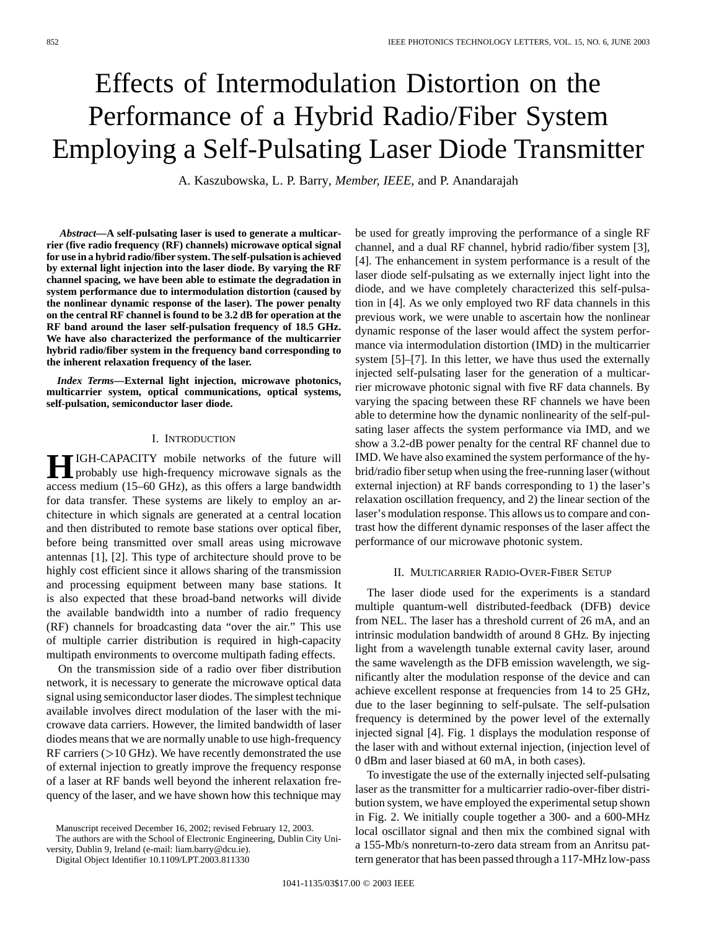# Effects of Intermodulation Distortion on the Performance of a Hybrid Radio/Fiber System Employing a Self-Pulsating Laser Diode Transmitter

A. Kaszubowska, L. P. Barry*, Member, IEEE*, and P. Anandarajah

*Abstract—***A self-pulsating laser is used to generate a multicarrier (five radio frequency (RF) channels) microwave optical signal for use in a hybrid radio/fiber system. The self-pulsation is achieved by external light injection into the laser diode. By varying the RF channel spacing, we have been able to estimate the degradation in system performance due to intermodulation distortion (caused by the nonlinear dynamic response of the laser). The power penalty on the central RF channel is found to be 3.2 dB for operation at the RF band around the laser self-pulsation frequency of 18.5 GHz. We have also characterized the performance of the multicarrier hybrid radio/fiber system in the frequency band corresponding to the inherent relaxation frequency of the laser.**

*Index Terms—***External light injection, microwave photonics, multicarrier system, optical communications, optical systems, self-pulsation, semiconductor laser diode.**

## I. INTRODUCTION

**HIGH-CAPACITY** mobile networks of the future will<br>probably use high-frequency microwave signals as the<br>expression of the state of the state has been during the state of the state of the state has been during the state of access medium (15–60 GHz), as this offers a large bandwidth for data transfer. These systems are likely to employ an architecture in which signals are generated at a central location and then distributed to remote base stations over optical fiber, before being transmitted over small areas using microwave antennas [1], [2]. This type of architecture should prove to be highly cost efficient since it allows sharing of the transmission and processing equipment between many base stations. It is also expected that these broad-band networks will divide the available bandwidth into a number of radio frequency (RF) channels for broadcasting data "over the air." This use of multiple carrier distribution is required in high-capacity multipath environments to overcome multipath fading effects.

On the transmission side of a radio over fiber distribution network, it is necessary to generate the microwave optical data signal using semiconductor laser diodes. The simplest technique available involves direct modulation of the laser with the microwave data carriers. However, the limited bandwidth of laser diodes means that we are normally unable to use high-frequency RF carriers  $($  > 10 GHz). We have recently demonstrated the use of external injection to greatly improve the frequency response of a laser at RF bands well beyond the inherent relaxation frequency of the laser, and we have shown how this technique may

The authors are with the School of Electronic Engineering, Dublin City University, Dublin 9, Ireland (e-mail: liam.barry@dcu.ie).

Digital Object Identifier 10.1109/LPT.2003.811330

be used for greatly improving the performance of a single RF channel, and a dual RF channel, hybrid radio/fiber system [3], [4]. The enhancement in system performance is a result of the laser diode self-pulsating as we externally inject light into the diode, and we have completely characterized this self-pulsation in [4]. As we only employed two RF data channels in this previous work, we were unable to ascertain how the nonlinear dynamic response of the laser would affect the system performance via intermodulation distortion (IMD) in the multicarrier system [5]–[7]. In this letter, we have thus used the externally injected self-pulsating laser for the generation of a multicarrier microwave photonic signal with five RF data channels. By varying the spacing between these RF channels we have been able to determine how the dynamic nonlinearity of the self-pulsating laser affects the system performance via IMD, and we show a 3.2-dB power penalty for the central RF channel due to IMD. We have also examined the system performance of the hybrid/radio fiber setup when using the free-running laser (without external injection) at RF bands corresponding to 1) the laser's relaxation oscillation frequency, and 2) the linear section of the laser's modulation response. This allows us to compare and contrast how the different dynamic responses of the laser affect the performance of our microwave photonic system.

## II. MULTICARRIER RADIO-OVER-FIBER SETUP

The laser diode used for the experiments is a standard multiple quantum-well distributed-feedback (DFB) device from NEL. The laser has a threshold current of 26 mA, and an intrinsic modulation bandwidth of around 8 GHz. By injecting light from a wavelength tunable external cavity laser, around the same wavelength as the DFB emission wavelength, we significantly alter the modulation response of the device and can achieve excellent response at frequencies from 14 to 25 GHz, due to the laser beginning to self-pulsate. The self-pulsation frequency is determined by the power level of the externally injected signal [4]. Fig. 1 displays the modulation response of the laser with and without external injection, (injection level of 0 dBm and laser biased at 60 mA, in both cases).

To investigate the use of the externally injected self-pulsating laser as the transmitter for a multicarrier radio-over-fiber distribution system, we have employed the experimental setup shown in Fig. 2. We initially couple together a 300- and a 600-MHz local oscillator signal and then mix the combined signal with a 155-Mb/s nonreturn-to-zero data stream from an Anritsu pattern generator that has been passed through a 117-MHz low-pass

Manuscript received December 16, 2002; revised February 12, 2003.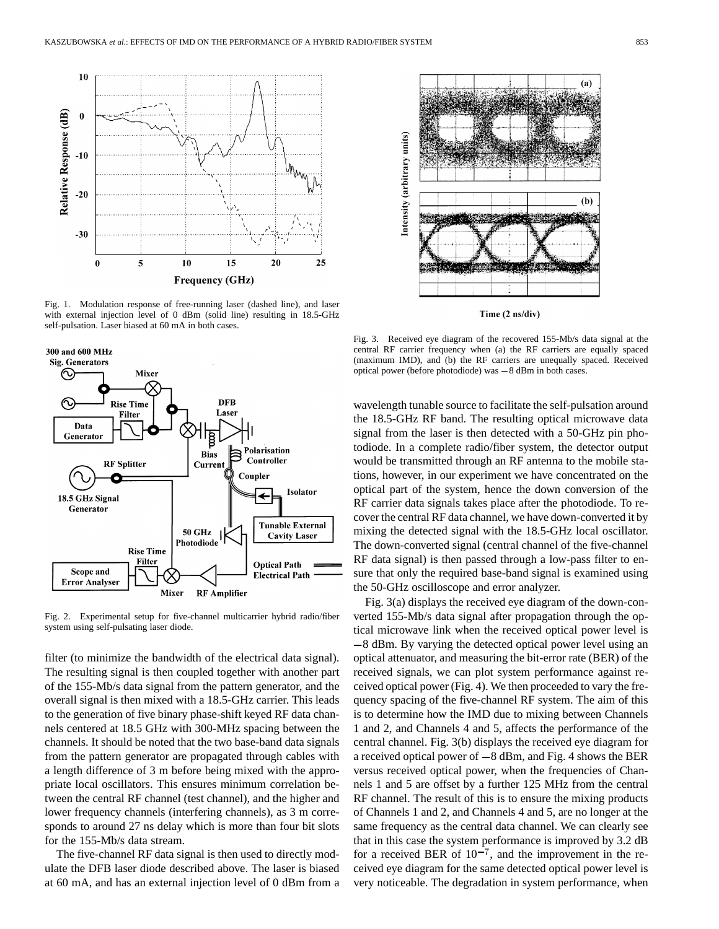

Fig. 1. Modulation response of free-running laser (dashed line), and laser with external injection level of 0 dBm (solid line) resulting in 18.5-GHz self-pulsation. Laser biased at 60 mA in both cases.





Fig. 2. Experimental setup for five-channel multicarrier hybrid radio/fiber system using self-pulsating laser diode.

filter (to minimize the bandwidth of the electrical data signal). The resulting signal is then coupled together with another part of the 155-Mb/s data signal from the pattern generator, and the overall signal is then mixed with a 18.5-GHz carrier. This leads to the generation of five binary phase-shift keyed RF data channels centered at 18.5 GHz with 300-MHz spacing between the channels. It should be noted that the two base-band data signals from the pattern generator are propagated through cables with a length difference of 3 m before being mixed with the appropriate local oscillators. This ensures minimum correlation between the central RF channel (test channel), and the higher and lower frequency channels (interfering channels), as 3 m corresponds to around 27 ns delay which is more than four bit slots for the 155-Mb/s data stream.

The five-channel RF data signal is then used to directly modulate the DFB laser diode described above. The laser is biased at 60 mA, and has an external injection level of 0 dBm from a



Time (2 ns/div)

Fig. 3. Received eye diagram of the recovered 155-Mb/s data signal at the central RF carrier frequency when (a) the RF carriers are equally spaced (maximum IMD), and (b) the RF carriers are unequally spaced. Received optic central RF carrier frequency when (a) the RF carriers are equally spaced (maximum IMD), and (b) the RF carriers are unequally spaced. Received

wavelength tunable source to facilitate the self-pulsation around the 18.5-GHz RF band. The resulting optical microwave data signal from the laser is then detected with a 50-GHz pin photodiode. In a complete radio/fiber system, the detector output would be transmitted through an RF antenna to the mobile stations, however, in our experiment we have concentrated on the optical part of the system, hence the down conversion of the RF carrier data signals takes place after the photodiode. To recover the central RF data channel, we have down-converted it by mixing the detected signal with the 18.5-GHz local oscillator. The down-converted signal (central channel of the five-channel RF data signal) is then passed through a low-pass filter to ensure that only the required base-band signal is examined using the 50-GHz oscilloscope and error analyzer.

Fig. 3(a) displays the received eye diagram of the down-converted 155-Mb/s data signal after propagation through the optical microwave link when the received optical power level is  $-8$  dBm. By varying the detected optical power level using an optical attenuator, and measuring the bit-error rate (BER) of the received signals, we can plot system performance against received optical power (Fig. 4). We then proceeded to vary the frequency spacing of the five-channel RF system. The aim of this is to determine how the IMD due to mixing between Channels 1 and 2, and Channels 4 and 5, affects the performance of the central channel. Fig. 3(b) displays the received eye diagram for a received optical power of  $-8$  dBm, and Fig. 4 shows the BER versus received optical power, when the frequencies of Channels 1 and 5 are offset by a further 125 MHz from the central RF channel. The result of this is to ensure the mixing products of Channels 1 and 2, and Channels 4 and 5, are no longer at the same frequency as the central data channel. We can clearly see that in this case the system performance is improved by 3.2 dB for a received BER of  $10^{-7}$ , and the improvement in the received eye diagram for the same detected optical power level is very noticeable. The degradation in system performance, when